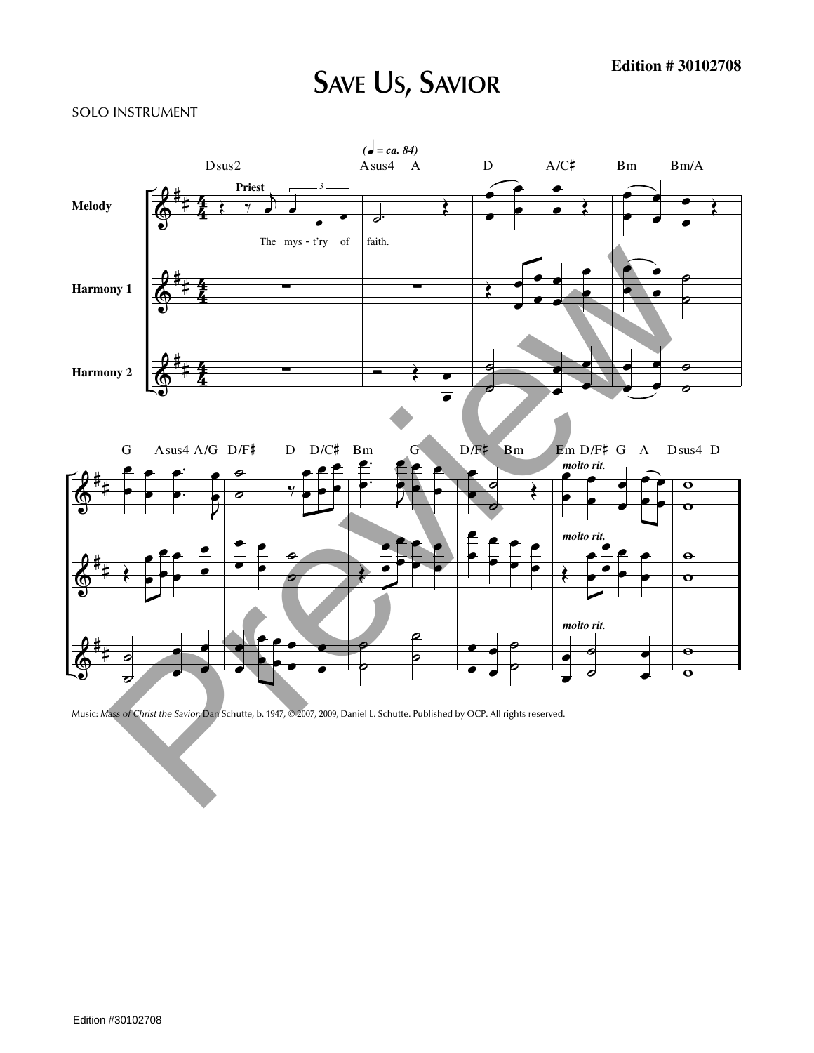## **SAVE US, SAVIOR**

## SOLO INSTRUMENT



Music: *Mass of Christ the Savior;* Dan Schutte, b. 1947, © 2007, 2009, Daniel L. Schutte. Published by OCP. All rights reserved.